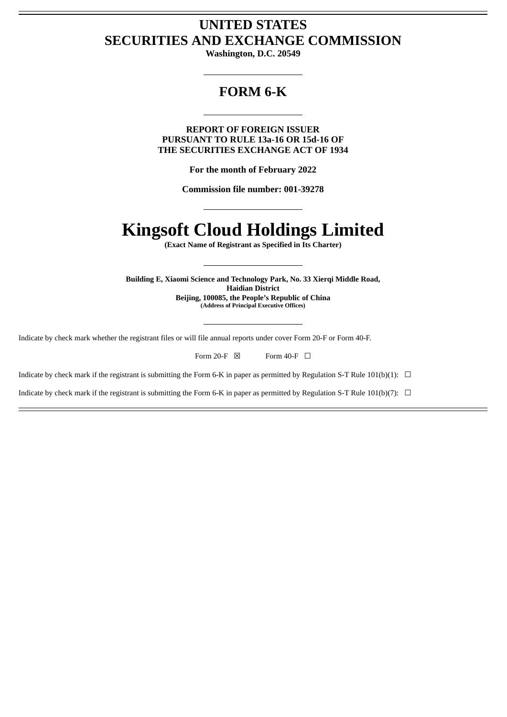# **UNITED STATES SECURITIES AND EXCHANGE COMMISSION**

**Washington, D.C. 20549**

# **FORM 6-K**

**REPORT OF FOREIGN ISSUER PURSUANT TO RULE 13a-16 OR 15d-16 OF THE SECURITIES EXCHANGE ACT OF 1934**

**For the month of February 2022**

**Commission file number: 001-39278**

# **Kingsoft Cloud Holdings Limited**

**(Exact Name of Registrant as Specified in Its Charter)**

**Building E, Xiaomi Science and Technology Park, No. 33 Xierqi Middle Road, Haidian District Beijing, 100085, the People's Republic of China (Address of Principal Executive Offices)**

Indicate by check mark whether the registrant files or will file annual reports under cover Form 20-F or Form 40-F.

| Form $20-F$ $\boxtimes$ |  | Form 40-F $\Box$ |  |
|-------------------------|--|------------------|--|
|-------------------------|--|------------------|--|

Indicate by check mark if the registrant is submitting the Form 6-K in paper as permitted by Regulation S-T Rule  $101(b)(1)$ :  $\Box$ 

Indicate by check mark if the registrant is submitting the Form 6-K in paper as permitted by Regulation S-T Rule 101(b)(7):  $\Box$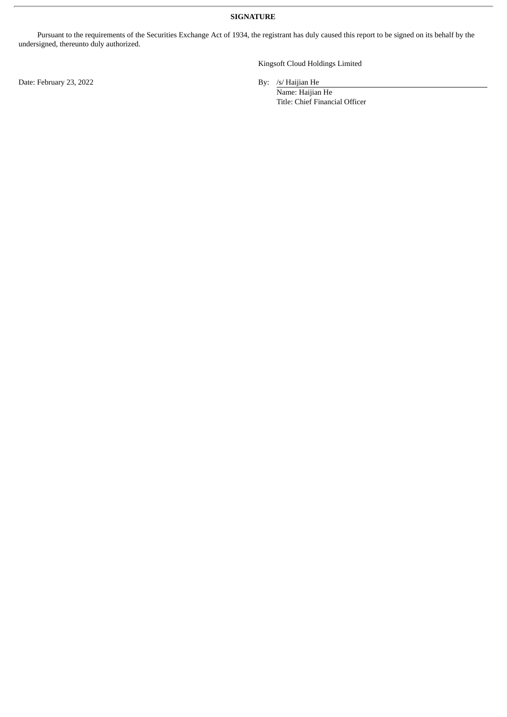**SIGNATURE**

Pursuant to the requirements of the Securities Exchange Act of 1934, the registrant has duly caused this report to be signed on its behalf by the undersigned, thereunto duly authorized.

Date: February 23, 2022 By: /s/ Haijian He

Kingsoft Cloud Holdings Limited

Name: Haijian He Title: Chief Financial Officer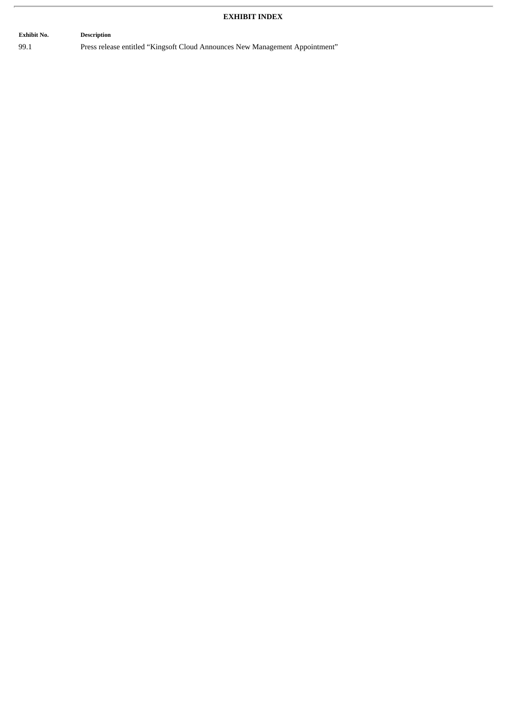## **EXHIBIT INDEX**

**Exhibit No. Description** 99.1 Press release entitled "Kingsoft Cloud Announces New Management Appointment"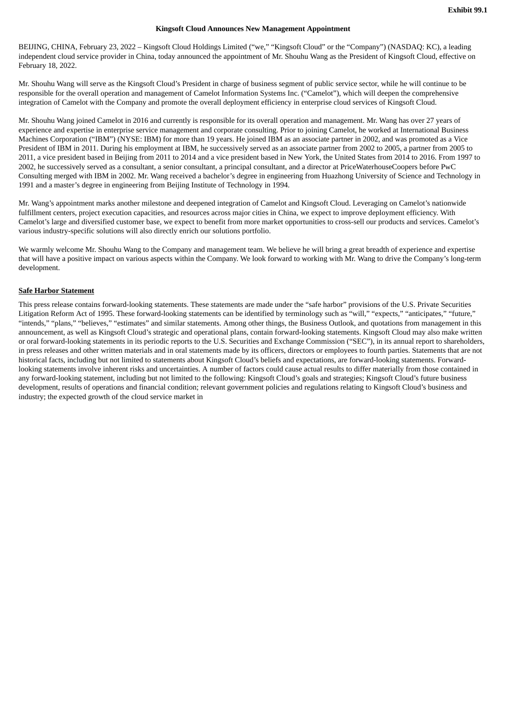#### **Kingsoft Cloud Announces New Management Appointment**

BEIJING, CHINA, February 23, 2022 – Kingsoft Cloud Holdings Limited ("we," "Kingsoft Cloud" or the "Company") (NASDAQ: KC), a leading independent cloud service provider in China, today announced the appointment of Mr. Shouhu Wang as the President of Kingsoft Cloud, effective on February 18, 2022.

Mr. Shouhu Wang will serve as the Kingsoft Cloud's President in charge of business segment of public service sector, while he will continue to be responsible for the overall operation and management of Camelot Information Systems Inc. ("Camelot"), which will deepen the comprehensive integration of Camelot with the Company and promote the overall deployment efficiency in enterprise cloud services of Kingsoft Cloud.

Mr. Shouhu Wang joined Camelot in 2016 and currently is responsible for its overall operation and management. Mr. Wang has over 27 years of experience and expertise in enterprise service management and corporate consulting. Prior to joining Camelot, he worked at International Business Machines Corporation ("IBM") (NYSE: IBM) for more than 19 years. He joined IBM as an associate partner in 2002, and was promoted as a Vice President of IBM in 2011. During his employment at IBM, he successively served as an associate partner from 2002 to 2005, a partner from 2005 to 2011, a vice president based in Beijing from 2011 to 2014 and a vice president based in New York, the United States from 2014 to 2016. From 1997 to 2002, he successively served as a consultant, a senior consultant, a principal consultant, and a director at PriceWaterhouseCoopers before PwC Consulting merged with IBM in 2002. Mr. Wang received a bachelor's degree in engineering from Huazhong University of Science and Technology in 1991 and a master's degree in engineering from Beijing Institute of Technology in 1994.

Mr. Wang's appointment marks another milestone and deepened integration of Camelot and Kingsoft Cloud. Leveraging on Camelot's nationwide fulfillment centers, project execution capacities, and resources across major cities in China, we expect to improve deployment efficiency. With Camelot's large and diversified customer base, we expect to benefit from more market opportunities to cross-sell our products and services. Camelot's various industry-specific solutions will also directly enrich our solutions portfolio.

We warmly welcome Mr. Shouhu Wang to the Company and management team. We believe he will bring a great breadth of experience and expertise that will have a positive impact on various aspects within the Company. We look forward to working with Mr. Wang to drive the Company's long-term development.

#### **Safe Harbor Statement**

This press release contains forward-looking statements. These statements are made under the "safe harbor" provisions of the U.S. Private Securities Litigation Reform Act of 1995. These forward-looking statements can be identified by terminology such as "will," "expects," "anticipates," "future," "intends," "plans," "believes," "estimates" and similar statements. Among other things, the Business Outlook, and quotations from management in this announcement, as well as Kingsoft Cloud's strategic and operational plans, contain forward-looking statements. Kingsoft Cloud may also make written or oral forward-looking statements in its periodic reports to the U.S. Securities and Exchange Commission ("SEC"), in its annual report to shareholders, in press releases and other written materials and in oral statements made by its officers, directors or employees to fourth parties. Statements that are not historical facts, including but not limited to statements about Kingsoft Cloud's beliefs and expectations, are forward-looking statements. Forwardlooking statements involve inherent risks and uncertainties. A number of factors could cause actual results to differ materially from those contained in any forward-looking statement, including but not limited to the following: Kingsoft Cloud's goals and strategies; Kingsoft Cloud's future business development, results of operations and financial condition; relevant government policies and regulations relating to Kingsoft Cloud's business and industry; the expected growth of the cloud service market in